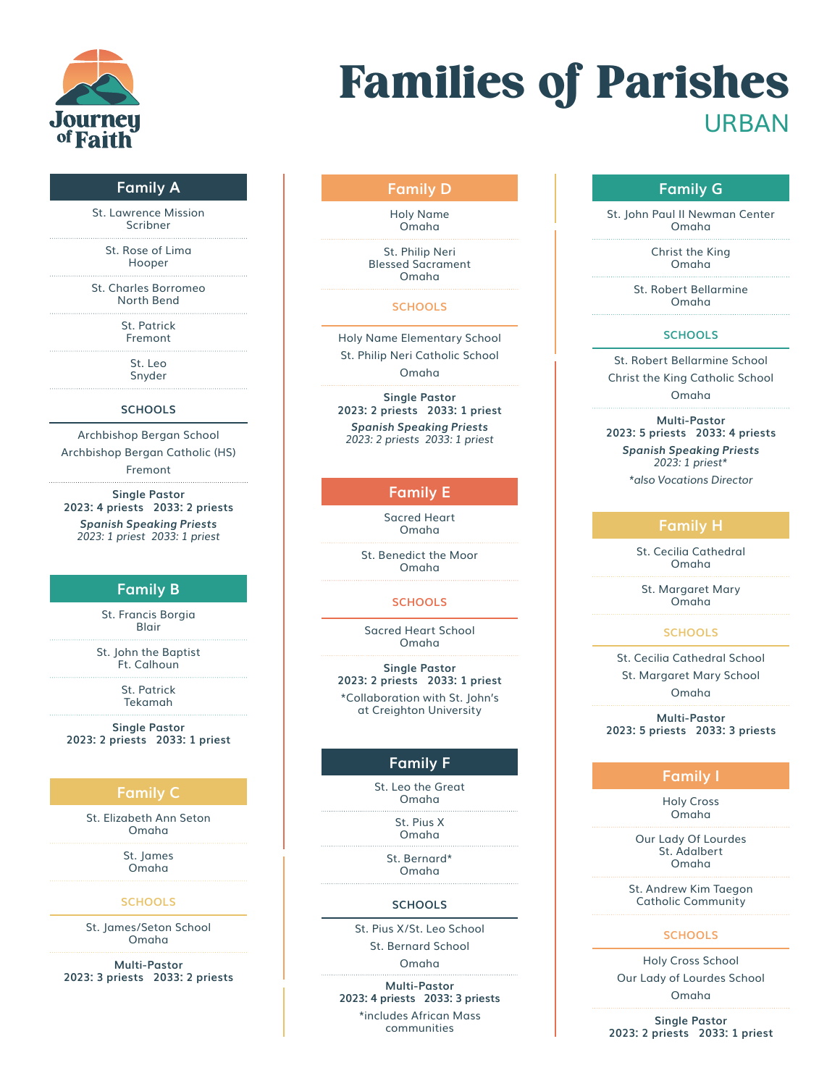

# Families of Parishes URBAN

## **Family A**

St. Lawrence Mission Scribner

> St. Rose of Lima Hooper

St. Charles Borromeo North Bend

> St. Patrick Fremont

> > St. Leo Snyder

#### **SCHOOLS**

Archbishop Bergan School Archbishop Bergan Catholic (HS) Fremont

**Single Pastor 2023: 4 priests 2033: 2 priests** *Spanish Speaking Priests 2023: 1 priest 2033: 1 priest*

## **Family B**

St. Francis Borgia Blair

St. John the Baptist Ft. Calhoun

> St. Patrick Tekamah

**Single Pastor 2023: 2 priests 2033: 1 priest**

## **Family C**

St. Elizabeth Ann Seton Omaha

> St. James Omaha

#### **SCHOOLS**

St. James/Seton School Omaha

**Multi-Pastor 2023: 3 priests 2033: 2 priests**

## **Family D**

Holy Name Omaha

St. Philip Neri Blessed Sacrament Omaha

#### **SCHOOLS**

Holy Name Elementary School St. Philip Neri Catholic School Omaha

**Single Pastor 2023: 2 priests 2033: 1 priest** *Spanish Speaking Priests 2023: 2 priests 2033: 1 priest*

## **Family E**

Sacred Heart Omaha

St. Benedict the Moor Omaha

#### **SCHOOLS**

Sacred Heart School Omaha

**Single Pastor 2023: 2 priests 2033: 1 priest** \*Collaboration with St. John's at Creighton University

## **Family F**

St. Leo the Great Omaha

> St. Pius X Omaha

St. Bernard\* Omaha

## **SCHOOLS**

St. Pius X/St. Leo School St. Bernard School

Omaha

**Multi-Pastor 2023: 4 priests 2033: 3 priests**

\*includes African Mass communities

## **Family G**

St. John Paul II Newman Center Omaha

> Christ the King Omaha

St. Robert Bellarmine Omaha

#### **SCHOOLS**

St. Robert Bellarmine School Christ the King Catholic School Omaha

**Multi-Pastor 2023: 5 priests 2033: 4 priests** *Spanish Speaking Priests 2023: 1 priest\* \*also Vocations Director*

## **Family H**

St. Cecilia Cathedral Omaha

St. Margaret Mary Omaha

#### **SCHOOLS**

St. Cecilia Cathedral School St. Margaret Mary School Omaha

**Multi-Pastor 2023: 5 priests 2033: 3 priests**

## **Family I**

Holy Cross Omaha

Our Lady Of Lourdes St. Adalbert Omaha

St. Andrew Kim Taegon Catholic Community

#### **SCHOOLS**

Holy Cross School Our Lady of Lourdes School Omaha

**Single Pastor 2023: 2 priests 2033: 1 priest**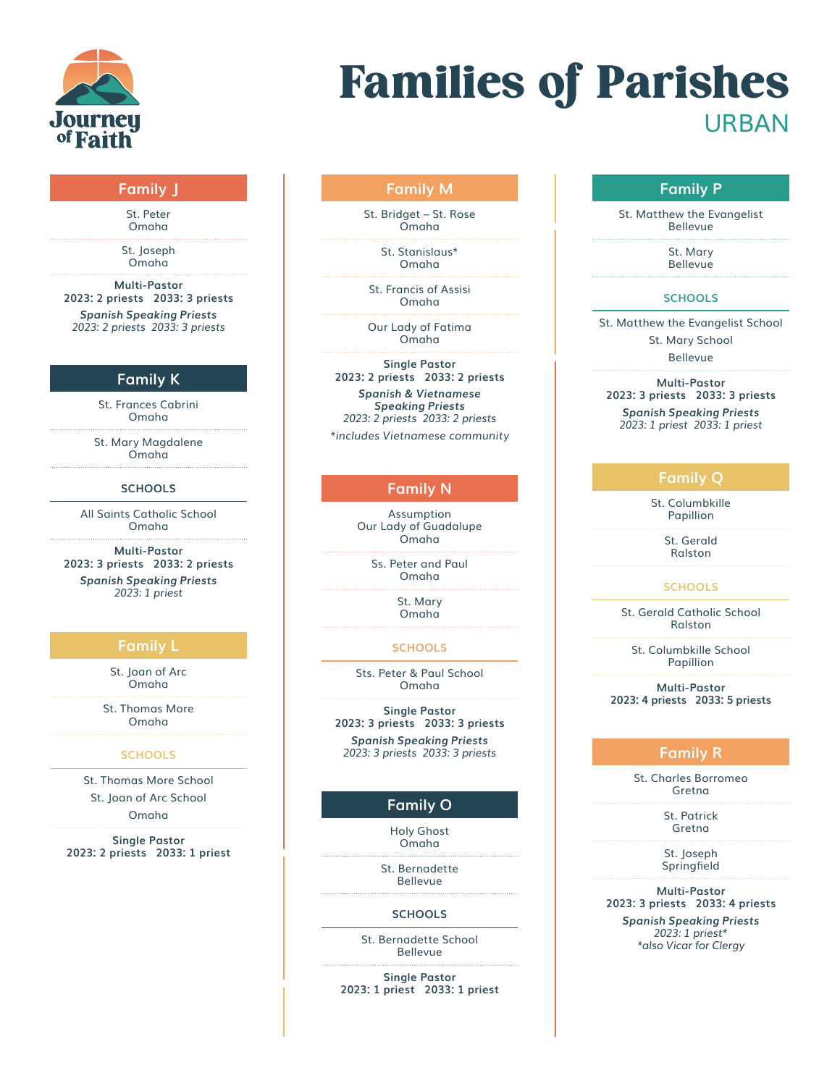

# Families of Parishes URBAN

## **Family J**

St. Peter Omaha

St. Joseph Omaha

**Multi-Pastor 2023: 2 priests 2033: 3 priests** *Spanish Speaking Priests 2023: 2 priests 2033: 3 priests*

## **Family K**

St. Frances Cabrini Omaha

St. Mary Magdalene Omaha

## **SCHOOLS**

All Saints Catholic School Omaha

**Multi-Pastor 2023: 3 priests 2033: 2 priests** *Spanish Speaking Priests*

*2023: 1 priest*

## **Family L**

St. Joan of Arc Omaha

St. Thomas More Omaha

### **SCHOOLS**

St. Thomas More School St. Joan of Arc School

Omaha

**Single Pastor 2023: 2 priests 2033: 1 priest**

## **Family M**

St. Bridget – St. Rose Omaha

> St. Stanislaus\* Omaha

St. Francis of Assisi Omaha

Our Lady of Fatima Omaha

**Single Pastor 2023: 2 priests 2033: 2 priests** *Spanish & Vietnamese*

*Speaking Priests 2023: 2 priests 2033: 2 priests \*includes Vietnamese community*

## **Family N**

Assumption Our Lady of Guadalupe Omaha

Ss. Peter and Paul Omaha

> St. Mary Omaha

#### **SCHOOLS**

Sts. Peter & Paul School Omaha

**Single Pastor 2023: 3 priests 2033: 3 priests**

*Spanish Speaking Priests 2023: 3 priests 2033: 3 priests*

## **Family O**

Holy Ghost Omaha

St. Bernadette Bellevue

## **SCHOOLS**

St. Bernadette School Bellevue

**Single Pastor 2023: 1 priest 2033: 1 priest**

## **Family P**

St. Matthew the Evangelist Bellevue

> St. Mary Bellevue

#### **SCHOOLS**

St. Matthew the Evangelist School

St. Mary School

Bellevue

**Multi-Pastor 2023: 3 priests 2033: 3 priests** *Spanish Speaking Priests*

*2023: 1 priest 2033: 1 priest*

## **Family Q**

St. Columbkille Papillion

> St. Gerald Ralston

#### **SCHOOLS**

St. Gerald Catholic School Ralston

> St. Columbkille School Papillion

**Multi-Pastor 2023: 4 priests 2033: 5 priests**

## **Family R**

St. Charles Borromeo Gretna

> St. Patrick Gretna

St. Joseph Springfield

**Multi-Pastor 2023: 3 priests 2033: 4 priests**

*Spanish Speaking Priests 2023: 1 priest\* \*also Vicar for Clergy*